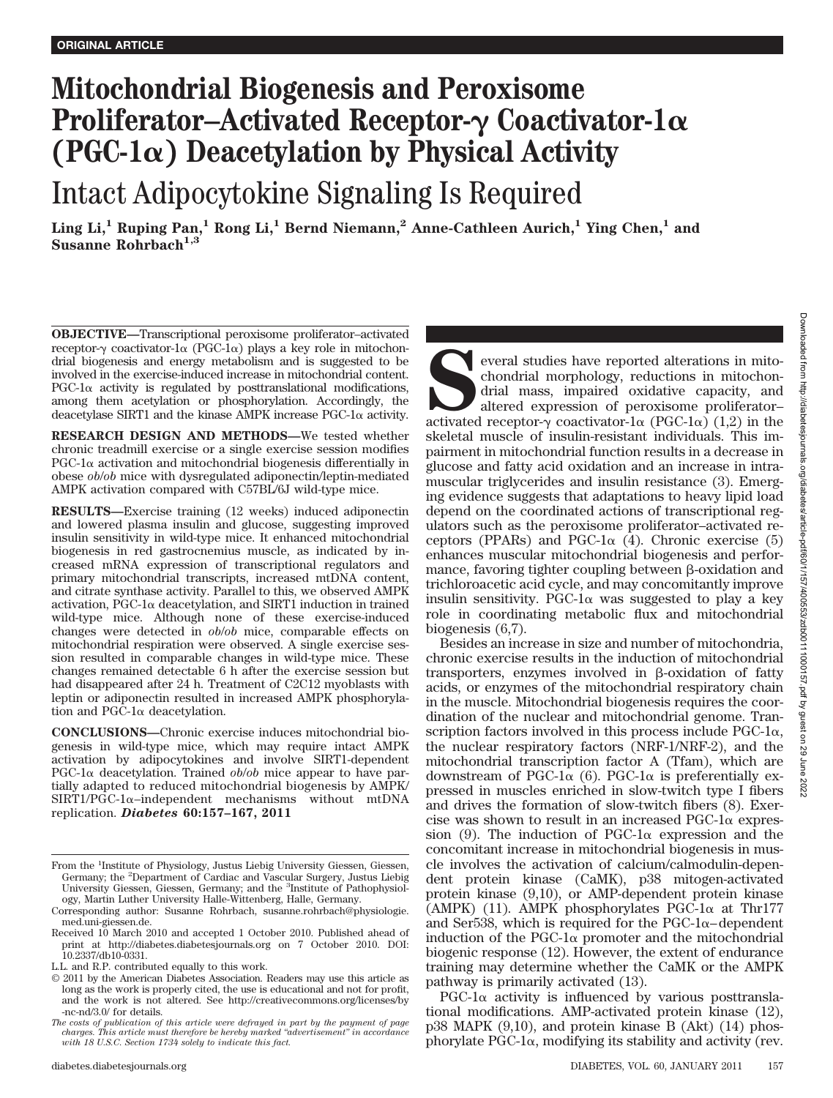# **Mitochondrial Biogenesis and Peroxisome** Proliferator–Activated Receptor- $\gamma$  Coactivator-1 $\alpha$ (PGC-1 $\alpha$ ) Deacetylation by Physical Activity

Intact Adipocytokine Signaling Is Required

**Ling Li,1 Ruping Pan,1 Rong Li,1 Bernd Niemann,2 Anne-Cathleen Aurich,1 Ying Chen,1 and Susanne Rohrbach1,3**

**OBJECTIVE—**Transcriptional peroxisome proliferator–activated receptor- $\gamma$  coactivator-1 $\alpha$  (PGC-1 $\alpha$ ) plays a key role in mitochondrial biogenesis and energy metabolism and is suggested to be involved in the exercise-induced increase in mitochondrial content.  $PGC-1\alpha$  activity is regulated by posttranslational modifications, among them acetylation or phosphorylation. Accordingly, the deacetylase SIRT1 and the kinase AMPK increase  $PGC-1\alpha$  activity.

**RESEARCH DESIGN AND METHODS—**We tested whether chronic treadmill exercise or a single exercise session modifies  $PGC-1\alpha$  activation and mitochondrial biogenesis differentially in obese *ob*/*ob* mice with dysregulated adiponectin/leptin-mediated AMPK activation compared with C57BL/6J wild-type mice.

**RESULTS—**Exercise training (12 weeks) induced adiponectin and lowered plasma insulin and glucose, suggesting improved insulin sensitivity in wild-type mice. It enhanced mitochondrial biogenesis in red gastrocnemius muscle, as indicated by increased mRNA expression of transcriptional regulators and primary mitochondrial transcripts, increased mtDNA content, and citrate synthase activity. Parallel to this, we observed AMPK  $activation, PGC-1\alpha$  deacetylation, and SIRT1 induction in trained wild-type mice. Although none of these exercise-induced changes were detected in *ob*/*ob* mice, comparable effects on mitochondrial respiration were observed. A single exercise session resulted in comparable changes in wild-type mice. These changes remained detectable 6 h after the exercise session but had disappeared after 24 h. Treatment of C2C12 myoblasts with leptin or adiponectin resulted in increased AMPK phosphorylation and PGC-1 $\alpha$  deacetylation.

**CONCLUSIONS—**Chronic exercise induces mitochondrial biogenesis in wild-type mice, which may require intact AMPK activation by adipocytokines and involve SIRT1-dependent  $PGC-1\alpha$  deacetylation. Trained  $ob/ob$  mice appear to have partially adapted to reduced mitochondrial biogenesis by AMPK/  $SIRT1/PGC-1\alpha$ -independent mechanisms without mtDNA replication. *Diabetes* **60:157–167, 2011**

everal studies have reported alterations in mito-<br>chondrial morphology, reductions in mitochon-<br>drial mass, impaired oxidative capacity, and<br>altered expression of peroxisome proliferator-<br>activated receptor- $\gamma$  coactivato chondrial morphology, reductions in mitochondrial mass, impaired oxidative capacity, and altered expression of peroxisome proliferator– activated receptor- $\gamma$  coactivator-1 $\alpha$  (PGC-1 $\alpha$ ) (1,2) in the skeletal muscle of insulin-resistant individuals. This impairment in mitochondrial function results in a decrease in glucose and fatty acid oxidation and an increase in intramuscular triglycerides and insulin resistance (3). Emerging evidence suggests that adaptations to heavy lipid load depend on the coordinated actions of transcriptional regulators such as the peroxisome proliferator–activated receptors (PPARs) and PGC-1 $\alpha$  (4). Chronic exercise (5) enhances muscular mitochondrial biogenesis and performance, favoring tighter coupling between  $\beta$ -oxidation and trichloroacetic acid cycle, and may concomitantly improve insulin sensitivity. PGC-1 $\alpha$  was suggested to play a key role in coordinating metabolic flux and mitochondrial biogenesis (6,7).

Besides an increase in size and number of mitochondria, chronic exercise results in the induction of mitochondrial transporters, enzymes involved in  $\beta$ -oxidation of fatty acids, or enzymes of the mitochondrial respiratory chain in the muscle. Mitochondrial biogenesis requires the coordination of the nuclear and mitochondrial genome. Transcription factors involved in this process include  $PGC-1\alpha$ , the nuclear respiratory factors (NRF-1/NRF-2), and the mitochondrial transcription factor A (Tfam), which are downstream of PGC-1 $\alpha$  (6). PGC-1 $\alpha$  is preferentially expressed in muscles enriched in slow-twitch type I fibers and drives the formation of slow-twitch fibers (8). Exercise was shown to result in an increased  $PGC-1\alpha$  expression (9). The induction of PGC-1 $\alpha$  expression and the concomitant increase in mitochondrial biogenesis in muscle involves the activation of calcium/calmodulin-dependent protein kinase (CaMK), p38 mitogen-activated protein kinase (9,10), or AMP-dependent protein kinase  $(AMPK)$  (11). AMPK phosphorylates PGC-1 $\alpha$  at Thr177 and Ser538, which is required for the  $PGC-1\alpha$ -dependent induction of the PGC-1 $\alpha$  promoter and the mitochondrial biogenic response (12). However, the extent of endurance training may determine whether the CaMK or the AMPK pathway is primarily activated (13).

 $PGC-1\alpha$  activity is influenced by various posttranslational modifications. AMP-activated protein kinase (12), p38 MAPK (9,10), and protein kinase B (Akt) (14) phos $phory$  late  $PGC-1\alpha$ , modifying its stability and activity (rev.

From the <sup>1</sup>Institute of Physiology, Justus Liebig University Giessen, Giessen, Germany; the <sup>2</sup>Department of Cardiac and Vascular Surgery, Justus Liebig University Giessen, Giessen, Germany; and the <sup>3</sup>Institute of Pathophysiology, Martin Luther University Halle-Wittenberg, Halle, Germany.

Corresponding author: Susanne Rohrbach, susanne.rohrbach@physiologie. med.uni-giessen.de.

Received 10 March 2010 and accepted 1 October 2010. Published ahead of print at http://diabetes.diabetesjournals.org on 7 October 2010. DOI: 10.2337/db10-0331.

L.L. and R.P. contributed equally to this work.

<sup>© 2011</sup> by the American Diabetes Association. Readers may use this article as long as the work is properly cited, the use is educational and not for profit, and the work is not altered. See http://creativecommons.org/licenses/by -nc-nd/3.0/ for details.

*The costs of publication of this article were defrayed in part by the payment of page charges. This article must therefore be hereby marked "advertisement" in accordance with 18 U.S.C. Section 1734 solely to indicate this fact.*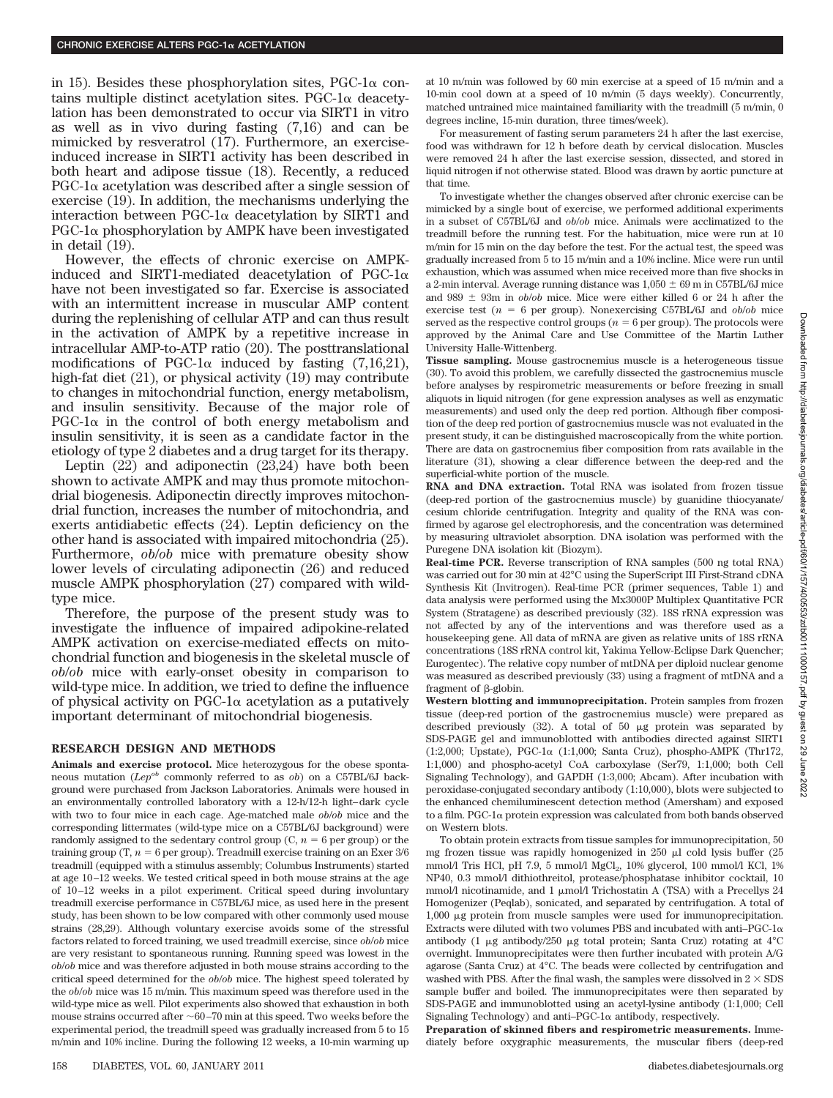in 15). Besides these phosphorylation sites,  $PGC-1\alpha$  contains multiple distinct acetylation sites. PGC-1 $\alpha$  deacetylation has been demonstrated to occur via SIRT1 in vitro as well as in vivo during fasting (7,16) and can be mimicked by resveratrol (17). Furthermore, an exerciseinduced increase in SIRT1 activity has been described in both heart and adipose tissue (18). Recently, a reduced  $PGC-1\alpha$  acetylation was described after a single session of exercise (19). In addition, the mechanisms underlying the interaction between PGC-1 $\alpha$  deacetylation by SIRT1 and  $PGC-1\alpha$  phosphorylation by AMPK have been investigated in detail (19).

However, the effects of chronic exercise on AMPKinduced and SIRT1-mediated deacetylation of PGC-1 $\alpha$ have not been investigated so far. Exercise is associated with an intermittent increase in muscular AMP content during the replenishing of cellular ATP and can thus result in the activation of AMPK by a repetitive increase in intracellular AMP-to-ATP ratio (20). The posttranslational modifications of PGC-1 $\alpha$  induced by fasting (7,16,21), high-fat diet (21), or physical activity (19) may contribute to changes in mitochondrial function, energy metabolism, and insulin sensitivity. Because of the major role of  $PGC-1\alpha$  in the control of both energy metabolism and insulin sensitivity, it is seen as a candidate factor in the etiology of type 2 diabetes and a drug target for its therapy.

Leptin  $(22)$  and adiponectin  $(23,24)$  have both been shown to activate AMPK and may thus promote mitochondrial biogenesis. Adiponectin directly improves mitochondrial function, increases the number of mitochondria, and exerts antidiabetic effects (24). Leptin deficiency on the other hand is associated with impaired mitochondria (25). Furthermore, *ob*/*ob* mice with premature obesity show lower levels of circulating adiponectin (26) and reduced muscle AMPK phosphorylation (27) compared with wildtype mice.

Therefore, the purpose of the present study was to investigate the influence of impaired adipokine-related AMPK activation on exercise-mediated effects on mitochondrial function and biogenesis in the skeletal muscle of *ob*/*ob* mice with early-onset obesity in comparison to wild-type mice. In addition, we tried to define the influence of physical activity on PGC-1 $\alpha$  acetylation as a putatively important determinant of mitochondrial biogenesis.

#### **RESEARCH DESIGN AND METHODS**

**Animals and exercise protocol.** Mice heterozygous for the obese spontaneous mutation (*Lepob* commonly referred to as *ob*) on a C57BL/6J background were purchased from Jackson Laboratories. Animals were housed in an environmentally controlled laboratory with a 12-h/12-h light–dark cycle with two to four mice in each cage. Age-matched male *ob*/*ob* mice and the corresponding littermates (wild-type mice on a C57BL/6J background) were randomly assigned to the sedentary control group  $(C, n = 6$  per group) or the training group (T,  $n = 6$  per group). Treadmill exercise training on an Exer  $3/6$ treadmill (equipped with a stimulus assembly; Columbus Instruments) started at age 10–12 weeks. We tested critical speed in both mouse strains at the age of 10–12 weeks in a pilot experiment. Critical speed during involuntary treadmill exercise performance in C57BL/6J mice, as used here in the present study, has been shown to be low compared with other commonly used mouse strains (28,29). Although voluntary exercise avoids some of the stressful factors related to forced training, we used treadmill exercise, since *ob*/*ob* mice are very resistant to spontaneous running. Running speed was lowest in the *ob*/*ob* mice and was therefore adjusted in both mouse strains according to the critical speed determined for the *ob*/*ob* mice. The highest speed tolerated by the *ob*/*ob* mice was 15 m/min. This maximum speed was therefore used in the wild-type mice as well. Pilot experiments also showed that exhaustion in both mouse strains occurred after  $\sim$  60–70 min at this speed. Two weeks before the experimental period, the treadmill speed was gradually increased from 5 to 15 m/min and 10% incline. During the following 12 weeks, a 10-min warming up

at 10 m/min was followed by 60 min exercise at a speed of 15 m/min and a 10-min cool down at a speed of 10 m/min (5 days weekly). Concurrently, matched untrained mice maintained familiarity with the treadmill (5 m/min, 0 degrees incline, 15-min duration, three times/week).

For measurement of fasting serum parameters 24 h after the last exercise, food was withdrawn for 12 h before death by cervical dislocation. Muscles were removed 24 h after the last exercise session, dissected, and stored in liquid nitrogen if not otherwise stated. Blood was drawn by aortic puncture at that time.

To investigate whether the changes observed after chronic exercise can be mimicked by a single bout of exercise, we performed additional experiments in a subset of C57BL/6J and *ob*/*ob* mice. Animals were acclimatized to the treadmill before the running test. For the habituation, mice were run at 10 m/min for 15 min on the day before the test. For the actual test, the speed was gradually increased from 5 to 15 m/min and a 10% incline. Mice were run until exhaustion, which was assumed when mice received more than five shocks in a 2-min interval. Average running distance was  $1,050 \pm 69$  m in C57BL/6J mice and 989  $\pm$  93m in *ob/ob* mice. Mice were either killed 6 or 24 h after the exercise test ( $n = 6$  per group). Nonexercising C57BL/6J and  $ob/ob$  mice served as the respective control groups ( $n = 6$  per group). The protocols were approved by the Animal Care and Use Committee of the Martin Luther University Halle-Wittenberg.

**Tissue sampling.** Mouse gastrocnemius muscle is a heterogeneous tissue (30). To avoid this problem, we carefully dissected the gastrocnemius muscle before analyses by respirometric measurements or before freezing in small aliquots in liquid nitrogen (for gene expression analyses as well as enzymatic measurements) and used only the deep red portion. Although fiber composition of the deep red portion of gastrocnemius muscle was not evaluated in the present study, it can be distinguished macroscopically from the white portion. There are data on gastrocnemius fiber composition from rats available in the literature (31), showing a clear difference between the deep-red and the superficial-white portion of the muscle.

**RNA and DNA extraction.** Total RNA was isolated from frozen tissue (deep-red portion of the gastrocnemius muscle) by guanidine thiocyanate/ cesium chloride centrifugation. Integrity and quality of the RNA was confirmed by agarose gel electrophoresis, and the concentration was determined by measuring ultraviolet absorption. DNA isolation was performed with the Puregene DNA isolation kit (Biozym).

**Real-time PCR.** Reverse transcription of RNA samples (500 ng total RNA) was carried out for 30 min at 42°C using the SuperScript III First-Strand cDNA Synthesis Kit (Invitrogen). Real-time PCR (primer sequences, Table 1) and data analysis were performed using the Mx3000P Multiplex Quantitative PCR System (Stratagene) as described previously (32). 18S rRNA expression was not affected by any of the interventions and was therefore used as a housekeeping gene. All data of mRNA are given as relative units of 18S rRNA concentrations (18S rRNA control kit, Yakima Yellow-Eclipse Dark Quencher; Eurogentec). The relative copy number of mtDNA per diploid nuclear genome was measured as described previously (33) using a fragment of mtDNA and a fragment of  $\beta$ -globin.

**Western blotting and immunoprecipitation.** Protein samples from frozen tissue (deep-red portion of the gastrocnemius muscle) were prepared as described previously  $(32)$ . A total of 50  $\mu$ g protein was separated by SDS-PAGE gel and immunoblotted with antibodies directed against SIRT1 (1:2,000; Upstate), PGC-1α (1:1,000; Santa Cruz), phospho-AMPK (Thr172, 1:1,000) and phospho-acetyl CoA carboxylase (Ser79, 1:1,000; both Cell Signaling Technology), and GAPDH (1:3,000; Abcam). After incubation with peroxidase-conjugated secondary antibody (1:10,000), blots were subjected to the enhanced chemiluminescent detection method (Amersham) and exposed to a film. PGC-1 $\alpha$  protein expression was calculated from both bands observed on Western blots.

To obtain protein extracts from tissue samples for immunoprecipitation, 50 mg frozen tissue was rapidly homogenized in  $250 \mu l$  cold lysis buffer  $(25$ mmol/l Tris HCl, pH 7.9, 5 mmol/l  $MgCl<sub>2</sub>$ , 10% glycerol, 100 mmol/l KCl, 1% NP40, 0.3 mmol/l dithiothreitol, protease/phosphatase inhibitor cocktail, 10 mmol/l nicotinamide, and 1  $\upmu \text{mol}/\text{l}$  Trichostatin A (TSA) with a Precellys  $24$ Homogenizer (Peqlab), sonicated, and separated by centrifugation. A total of 1,000  $\mu$ g protein from muscle samples were used for immunoprecipitation. Extracts were diluted with two volumes PBS and incubated with anti-PGC-1 $\alpha$ antibody (1  $\mu$ g antibody/250  $\mu$ g total protein; Santa Cruz) rotating at 4°C overnight. Immunoprecipitates were then further incubated with protein A/G agarose (Santa Cruz) at 4°C. The beads were collected by centrifugation and washed with PBS. After the final wash, the samples were dissolved in  $2 \times$  SDS sample buffer and boiled. The immunoprecipitates were then separated by SDS-PAGE and immunoblotted using an acetyl-lysine antibody (1:1,000; Cell Signaling Technology) and anti-PGC-1 $\alpha$  antibody, respectively.

**Preparation of skinned fibers and respirometric measurements.** Immediately before oxygraphic measurements, the muscular fibers (deep-red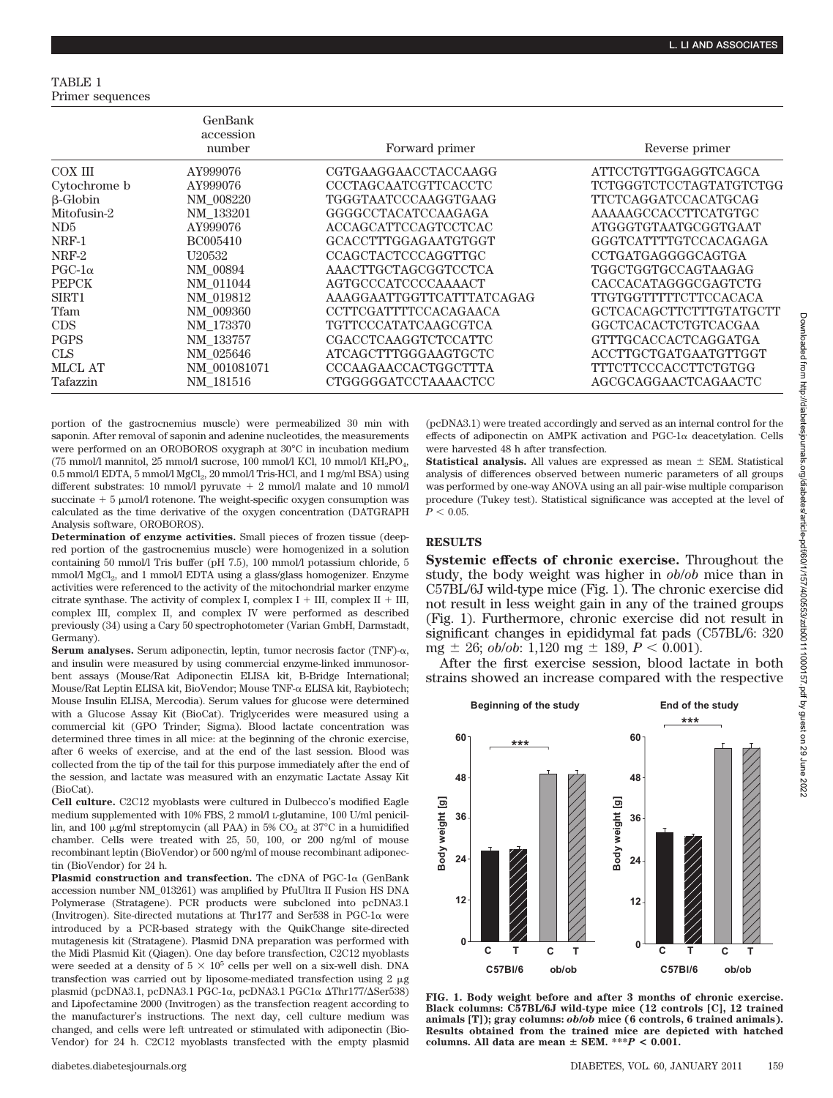TABLE 1 Primer sequences

|                 | GenBank<br>accession<br>number | Forward primer             | Reverse primer          |
|-----------------|--------------------------------|----------------------------|-------------------------|
| COX III         | AY999076                       | CGTGAAGGAACCTACCAAGG       | ATTCCTGTTGGAGGTCAGCA    |
| Cytochrome b    | AY999076                       | CCCTAGCAATCGTTCACCTC       | TCTGGGTCTCCTAGTATGTCTGG |
| $\beta$ -Globin | NM 008220                      | TGGGTAATCCCAAGGTGAAG       | TTCTCAGGATCCACATGCAG    |
| Mitofusin-2     | NM 133201                      | GGGGCCTACATCCAAGAGA        | AAAAAGCCACCTTCATGTGC    |
| ND <sub>5</sub> | AY999076                       | ACCAGCATTCCAGTCCTCAC       | ATGGGTGTAATGCGGTGAAT    |
| NRF-1           | BC005410                       | GCACCTTTGGAGAATGTGGT       | GGGTCATTTTGTCCACAGAGA   |
| NRF-2           | U <sub>20532</sub>             | <b>CCAGCTACTCCCAGGTTGC</b> | CCTGATGAGGGGCAGTGA      |
| $PGC-1\alpha$   | NM 00894                       | AAACTTGCTAGCGGTCCTCA       | TGGCTGGTGCCAGTAAGAG     |
| <b>PEPCK</b>    | NM 011044                      | AGTGCCCATCCCCAAAACT        | CACCACATAGGGCGAGTCTG    |
| SIRT1           | NM 019812                      | AAAGGAATTGGTTCATTTATCAGAG  | TTGTGGTTTTTCTTCCACACA   |
| Tfam            | NM 009360                      | CCTTCGATTTTCCACAGAACA      | GCTCACAGCTTCTTTGTATGCTT |
| <b>CDS</b>      | NM 173370                      | TGTTCCCATATCAAGCGTCA       | GGCTCACACTCTGTCACGAA    |
| <b>PGPS</b>     | NM 133757                      | CGACCTCAAGGTCTCCATTC       | GTTTGCACCACTCAGGATGA    |
| <b>CLS</b>      | NM 025646                      | ATCAGCTTTGGGAAGTGCTC       | ACCTTGCTGATGAATGTTGGT   |
| <b>MLCL AT</b>  | NM 001081071                   | CCCAAGAACCACTGGCTTTA       | TTTCTTCCCACCTTCTGTGG    |
| Tafazzin        | NM 181516                      | CTGGGGGATCCTAAAACTCC       | AGCGCAGGAACTCAGAACTC    |

portion of the gastrocnemius muscle) were permeabilized 30 min with saponin. After removal of saponin and adenine nucleotides, the measurements were performed on an OROBOROS oxygraph at 30°C in incubation medium (75 mmol/l mannitol, 25 mmol/l sucrose, 100 mmol/l KCl, 10 mmol/l  $KH_{2}PO_{4}$ , 0.5 mmol/l EDTA, 5 mmol/l MgCl<sub>2</sub>, 20 mmol/l Tris-HCl, and 1 mg/ml BSA) using different substrates: 10 mmol/l pyruvate  $+$  2 mmol/l malate and 10 mmol/l succinate  $+5 \mu$ mol/l rotenone. The weight-specific oxygen consumption was calculated as the time derivative of the oxygen concentration (DATGRAPH Analysis software, OROBOROS).

**Determination of enzyme activities.** Small pieces of frozen tissue (deepred portion of the gastrocnemius muscle) were homogenized in a solution containing 50 mmol/l Tris buffer (pH 7.5), 100 mmol/l potassium chloride, 5 mmol/l MgCl<sub>2</sub>, and 1 mmol/l EDTA using a glass/glass homogenizer. Enzyme activities were referenced to the activity of the mitochondrial marker enzyme citrate synthase. The activity of complex I, complex I + III, complex II + III, complex III, complex II, and complex IV were performed as described previously (34) using a Cary 50 spectrophotometer (Varian GmbH, Darmstadt, Germany).

Serum analyses. Serum adiponectin, leptin, tumor necrosis factor  $(TNF)$ - $\alpha$ , and insulin were measured by using commercial enzyme-linked immunosorbent assays (Mouse/Rat Adiponectin ELISA kit, B-Bridge International; Mouse/Rat Leptin ELISA kit, BioVendor; Mouse TNF-α ELISA kit, Raybiotech; Mouse Insulin ELISA, Mercodia). Serum values for glucose were determined with a Glucose Assay Kit (BioCat). Triglycerides were measured using a commercial kit (GPO Trinder; Sigma). Blood lactate concentration was determined three times in all mice: at the beginning of the chronic exercise, after 6 weeks of exercise, and at the end of the last session. Blood was collected from the tip of the tail for this purpose immediately after the end of the session, and lactate was measured with an enzymatic Lactate Assay Kit (BioCat).

**Cell culture.** C2C12 myoblasts were cultured in Dulbecco's modified Eagle medium supplemented with 10% FBS, 2 mmol/l L-glutamine, 100 U/ml penicillin, and 100  $\mu$ g/ml streptomycin (all PAA) in 5% CO<sub>2</sub> at 37°C in a humidified chamber. Cells were treated with 25, 50, 100, or 200 ng/ml of mouse recombinant leptin (BioVendor) or 500 ng/ml of mouse recombinant adiponectin (BioVendor) for 24 h.

**Plasmid construction and transfection.** The cDNA of PGC- $1\alpha$  (GenBank accession number NM\_013261) was amplified by PfuUltra II Fusion HS DNA Polymerase (Stratagene). PCR products were subcloned into pcDNA3.1 (Invitrogen). Site-directed mutations at Thr177 and Ser538 in PGC-1 $\alpha$  were introduced by a PCR-based strategy with the QuikChange site-directed mutagenesis kit (Stratagene). Plasmid DNA preparation was performed with the Midi Plasmid Kit (Qiagen). One day before transfection, C2C12 myoblasts were seeded at a density of  $5 \times 10^5$  cells per well on a six-well dish. DNA transfection was carried out by liposome-mediated transfection using  $2 \mu$ g plasmid (pcDNA3.1, pcDNA3.1 PGC-1α, pcDNA3.1 PGC1α ΔThr177/ΔSer538) and Lipofectamine 2000 (Invitrogen) as the transfection reagent according to the manufacturer's instructions. The next day, cell culture medium was changed, and cells were left untreated or stimulated with adiponectin (Bio-Vendor) for 24 h. C2C12 myoblasts transfected with the empty plasmid (pcDNA3.1) were treated accordingly and served as an internal control for the effects of adiponectin on AMPK activation and  $PGC-1\alpha$  deacetylation. Cells were harvested 48 h after transfection.

**Statistical analysis.** All values are expressed as mean  $\pm$  SEM. Statistical analysis of differences observed between numeric parameters of all groups was performed by one-way ANOVA using an all pair-wise multiple comparison procedure (Tukey test). Statistical significance was accepted at the level of  $P < 0.05$ .

## **RESULTS**

**Systemic effects of chronic exercise.** Throughout the study, the body weight was higher in *ob*/*ob* mice than in C57BL/6J wild-type mice (Fig. 1). The chronic exercise did not result in less weight gain in any of the trained groups (Fig. 1). Furthermore, chronic exercise did not result in significant changes in epididymal fat pads (C57BL/6: 320 mg  $\pm$  26; *ob/ob*: 1,120 mg  $\pm$  189, *P* < 0.001).

After the first exercise session, blood lactate in both strains showed an increase compared with the respective



**FIG. 1. Body weight before and after 3 months of chronic exercise. Black columns: C57BL/6J wild-type mice (12 controls [C], 12 trained animals [T]); gray columns:** *ob***/***ob* **mice (6 controls, 6 trained animals). Results obtained from the trained mice are depicted with hatched columns. All data are mean SEM. \*\*\****P* **< 0.001.**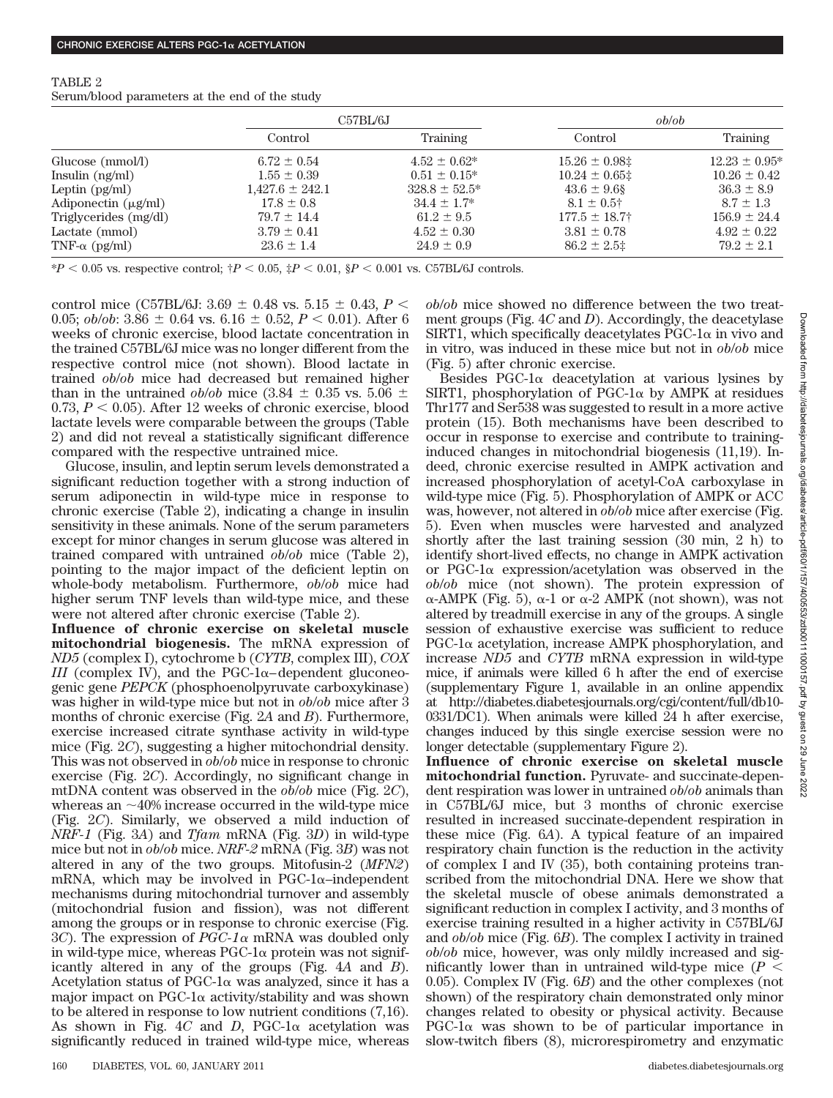|                          | C57BL/6J            |                    | ob/ob              |                    |
|--------------------------|---------------------|--------------------|--------------------|--------------------|
|                          | Control             | Training           | Control            | <b>Training</b>    |
| Glucose (mmol/l)         | $6.72 \pm 0.54$     | $4.52 \pm 0.62^*$  | $15.26 \pm 0.98$   | $12.23 \pm 0.95^*$ |
| Insulin $(ng/ml)$        | $1.55 \pm 0.39$     | $0.51 \pm 0.15^*$  | $10.24 \pm 0.65$ ‡ | $10.26 \pm 0.42$   |
| Leptin $(pg/ml)$         | $1,427.6 \pm 242.1$ | $328.8 \pm 52.5^*$ | $43.6 \pm 9.6$ §   | $36.3 \pm 8.9$     |
| Adiponectin $(\mu g/ml)$ | $17.8 \pm 0.8$      | $34.4 \pm 1.7^*$   | $8.1 \pm 0.5$ †    | $8.7 \pm 1.3$      |
| Triglycerides (mg/dl)    | $79.7 \pm 14.4$     | $61.2 \pm 9.5$     | $177.5 \pm 18.7^+$ | $156.9 \pm 24.4$   |
| Lactate (mmol)           | $3.79 \pm 0.41$     | $4.52 \pm 0.30$    | $3.81 \pm 0.78$    | $4.92 \pm 0.22$    |
| TNF- $\alpha$ (pg/ml)    | $23.6 \pm 1.4$      | $24.9 \pm 0.9$     | $86.2 \pm 2.5$ ‡   | $79.2 \pm 2.1$     |

TABLE 2

Serum/blood parameters at the end of the study

 $*P < 0.05$  vs. respective control;  $\dagger P < 0.05$ ,  $\ddagger P < 0.01$ ,  $\S P < 0.001$  vs. C57BL/6J controls.

control mice (C57BL/6J:  $3.69 \pm 0.48$  vs.  $5.15 \pm 0.43$ ,  $P \leq$ 0.05; *ob/ob*: 3.86  $\pm$  0.64 vs. 6.16  $\pm$  0.52, *P* < 0.01). After 6 weeks of chronic exercise, blood lactate concentration in the trained C57BL/6J mice was no longer different from the respective control mice (not shown). Blood lactate in trained *ob*/*ob* mice had decreased but remained higher than in the untrained *ob/ob* mice (3.84  $\pm$  0.35 vs. 5.06  $\pm$  $0.73, P < 0.05$ . After 12 weeks of chronic exercise, blood lactate levels were comparable between the groups (Table 2) and did not reveal a statistically significant difference compared with the respective untrained mice.

Glucose, insulin, and leptin serum levels demonstrated a significant reduction together with a strong induction of serum adiponectin in wild-type mice in response to chronic exercise (Table 2), indicating a change in insulin sensitivity in these animals. None of the serum parameters except for minor changes in serum glucose was altered in trained compared with untrained *ob*/*ob* mice (Table 2), pointing to the major impact of the deficient leptin on whole-body metabolism. Furthermore, *ob*/*ob* mice had higher serum TNF levels than wild-type mice, and these were not altered after chronic exercise (Table 2).

**Influence of chronic exercise on skeletal muscle mitochondrial biogenesis.** The mRNA expression of *ND5* (complex I), cytochrome b (*CYTB*, complex III), *COX III* (complex IV), and the PGC-1 $\alpha$ -dependent gluconeogenic gene *PEPCK* (phosphoenolpyruvate carboxykinase) was higher in wild-type mice but not in *ob*/*ob* mice after 3 months of chronic exercise (Fig. 2*A* and *B*). Furthermore, exercise increased citrate synthase activity in wild-type mice (Fig. 2*C*), suggesting a higher mitochondrial density. This was not observed in *ob*/*ob* mice in response to chronic exercise (Fig. 2*C*). Accordingly, no significant change in mtDNA content was observed in the *ob*/*ob* mice (Fig. 2*C*), whereas an  $\sim$ 40% increase occurred in the wild-type mice (Fig. 2*C*). Similarly, we observed a mild induction of *NRF-1* (Fig. 3*A*) and *Tfam* mRNA (Fig. 3*D*) in wild-type mice but not in *ob*/*ob* mice. *NRF-2* mRNA (Fig. 3*B*) was not altered in any of the two groups. Mitofusin-2 (*MFN2*) mRNA, which may be involved in  $PGC-1\alpha$ -independent mechanisms during mitochondrial turnover and assembly (mitochondrial fusion and fission), was not different among the groups or in response to chronic exercise (Fig. 3*C*). The expression of *PGC-1* $\alpha$  mRNA was doubled only in wild-type mice, whereas  $PGC-1\alpha$  protein was not significantly altered in any of the groups (Fig. 4*A* and *B*). Acetylation status of PGC-1 $\alpha$  was analyzed, since it has a major impact on PGC-1 $\alpha$  activity/stability and was shown to be altered in response to low nutrient conditions (7,16). As shown in Fig.  $4C$  and *D*, PGC-1 $\alpha$  acetylation was significantly reduced in trained wild-type mice, whereas

*ob*/*ob* mice showed no difference between the two treatment groups (Fig. 4*C* and *D*). Accordingly, the deacetylase  $SIRT1$ , which specifically deacetylates PGC-1 $\alpha$  in vivo and in vitro, was induced in these mice but not in *ob*/*ob* mice (Fig. 5) after chronic exercise.

Besides  $PGC-1\alpha$  deacetylation at various lysines by SIRT1, phosphorylation of PGC-1 $\alpha$  by AMPK at residues Thr177 and Ser538 was suggested to result in a more active protein (15). Both mechanisms have been described to occur in response to exercise and contribute to traininginduced changes in mitochondrial biogenesis (11,19). Indeed, chronic exercise resulted in AMPK activation and increased phosphorylation of acetyl-CoA carboxylase in wild-type mice (Fig. 5). Phosphorylation of AMPK or ACC was, however, not altered in *ob*/*ob* mice after exercise (Fig. 5). Even when muscles were harvested and analyzed shortly after the last training session (30 min, 2 h) to identify short-lived effects, no change in AMPK activation or PGC-1 $\alpha$  expression/acetylation was observed in the *ob*/*ob* mice (not shown). The protein expression of  $\alpha$ -AMPK (Fig. 5),  $\alpha$ -1 or  $\alpha$ -2 AMPK (not shown), was not altered by treadmill exercise in any of the groups. A single session of exhaustive exercise was sufficient to reduce  $PGC-1\alpha$  acetylation, increase AMPK phosphorylation, and increase *ND5* and *CYTB* mRNA expression in wild-type mice, if animals were killed 6 h after the end of exercise (supplementary Figure 1, available in an online appendix at http://diabetes.diabetesjournals.org/cgi/content/full/db10- 0331/DC1). When animals were killed 24 h after exercise, changes induced by this single exercise session were no longer detectable (supplementary Figure 2).

**Influence of chronic exercise on skeletal muscle mitochondrial function.** Pyruvate- and succinate-dependent respiration was lower in untrained *ob*/*ob* animals than in C57BL/6J mice, but 3 months of chronic exercise resulted in increased succinate-dependent respiration in these mice (Fig. 6*A*). A typical feature of an impaired respiratory chain function is the reduction in the activity of complex I and IV (35), both containing proteins transcribed from the mitochondrial DNA. Here we show that the skeletal muscle of obese animals demonstrated a significant reduction in complex I activity, and 3 months of exercise training resulted in a higher activity in C57BL/6J and *ob*/*ob* mice (Fig. 6*B*). The complex I activity in trained *ob*/*ob* mice, however, was only mildly increased and significantly lower than in untrained wild-type mice  $(P \leq$ 0.05). Complex IV (Fig. 6*B*) and the other complexes (not shown) of the respiratory chain demonstrated only minor changes related to obesity or physical activity. Because  $PGC-1\alpha$  was shown to be of particular importance in slow-twitch fibers (8), microrespirometry and enzymatic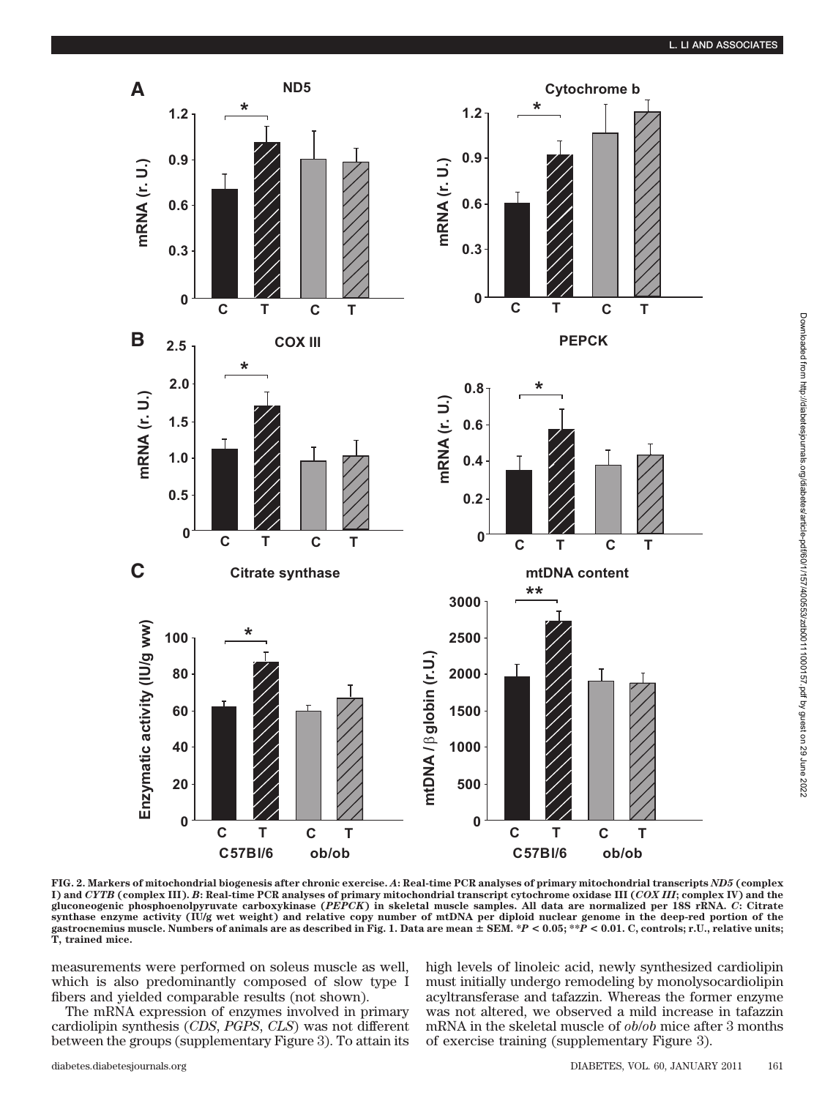

**FIG. 2. Markers of mitochondrial biogenesis after chronic exercise.** *A***: Real-time PCR analyses of primary mitochondrial transcripts** *ND5* **(complex I) and** *CYTB* **(complex III).** *B***: Real-time PCR analyses of primary mitochondrial transcript cytochrome oxidase III (***COX III***; complex IV) and the gluconeogenic phosphoenolpyruvate carboxykinase (***PEPCK***) in skeletal muscle samples. All data are normalized per 18S rRNA.** *C***: Citrate** synthase enzyme activity (IU/g wet weight) and relative copy number of mtDNA per diploid nuclear genome in the deep-red portion of the<br>gastrocnemius muscle. Numbers of animals are as described in Fig. 1. Data are mean ± SE **T, trained mice.**

measurements were performed on soleus muscle as well, which is also predominantly composed of slow type I fibers and yielded comparable results (not shown).

The mRNA expression of enzymes involved in primary cardiolipin synthesis (*CDS*, *PGPS*, *CLS*) was not different between the groups (supplementary Figure 3). To attain its high levels of linoleic acid, newly synthesized cardiolipin must initially undergo remodeling by monolysocardiolipin acyltransferase and tafazzin. Whereas the former enzyme was not altered, we observed a mild increase in tafazzin mRNA in the skeletal muscle of *ob*/*ob* mice after 3 months of exercise training (supplementary Figure 3).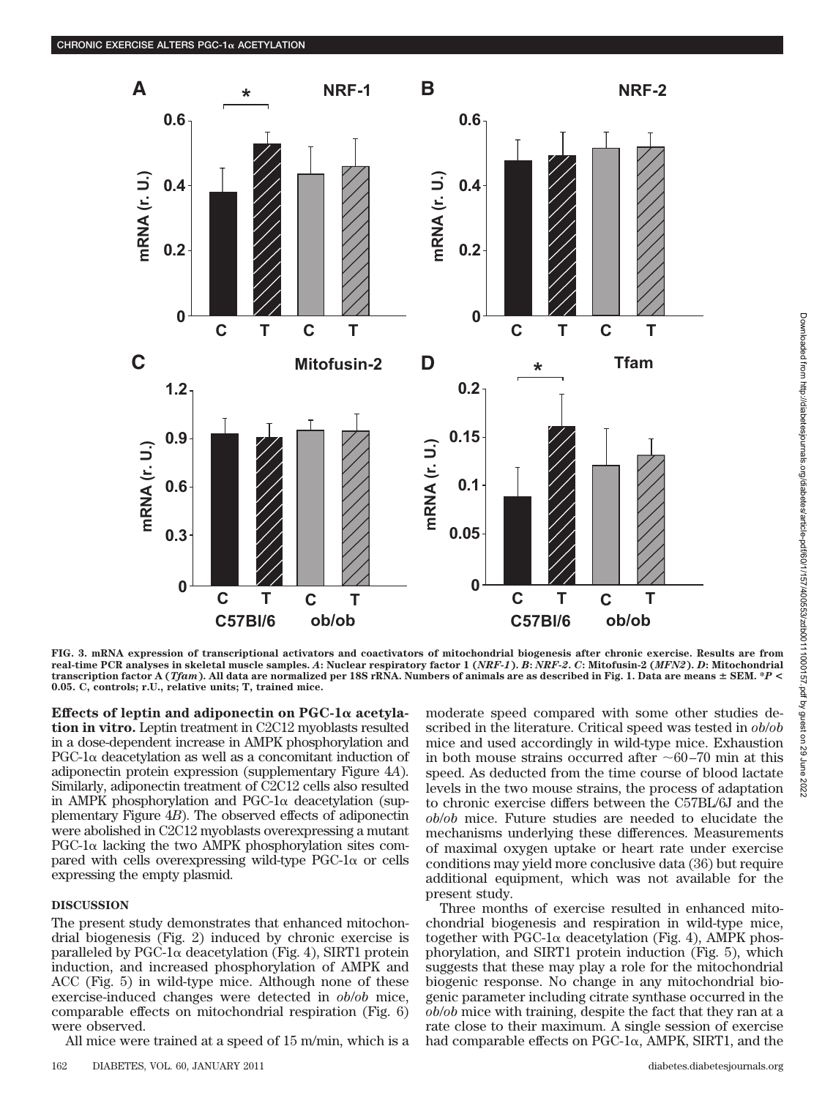

FIG. 3. mRNA expression of transcriptional activators and coactivators of mitochondrial biogenesis after chronic exercise. Results are from<br>real-time PCR analyses in skeletal muscle samples. A: Nuclear respiratory factor 1 **transcription factor A (***Tfam***). All data are normalized per 18S rRNA. Numbers of animals are as described in Fig. 1. Data are means SEM. \****P* **< 0.05. C, controls; r.U., relative units; T, trained mice.**

Effects of leptin and adiponectin on PGC-1 $\alpha$  acetyla**tion in vitro.** Leptin treatment in C2C12 myoblasts resulted in a dose-dependent increase in AMPK phosphorylation and  $PGC-1\alpha$  deacetylation as well as a concomitant induction of adiponectin protein expression (supplementary Figure 4*A*). Similarly, adiponectin treatment of C2C12 cells also resulted in AMPK phosphorylation and  $PGC-1\alpha$  deacetylation (supplementary Figure 4*B*). The observed effects of adiponectin were abolished in C2C12 myoblasts overexpressing a mutant  $PGC-1\alpha$  lacking the two AMPK phosphorylation sites compared with cells overexpressing wild-type  $PGC-1\alpha$  or cells expressing the empty plasmid.

### **DISCUSSION**

The present study demonstrates that enhanced mitochondrial biogenesis (Fig. 2) induced by chronic exercise is paralleled by PGC-1 $\alpha$  deacetylation (Fig. 4), SIRT1 protein induction, and increased phosphorylation of AMPK and ACC (Fig. 5) in wild-type mice. Although none of these exercise-induced changes were detected in *ob*/*ob* mice, comparable effects on mitochondrial respiration (Fig. 6) were observed.

All mice were trained at a speed of 15 m/min, which is a

moderate speed compared with some other studies described in the literature. Critical speed was tested in *ob*/*ob* mice and used accordingly in wild-type mice. Exhaustion in both mouse strains occurred after  $\sim 60-70$  min at this speed. As deducted from the time course of blood lactate levels in the two mouse strains, the process of adaptation to chronic exercise differs between the C57BL/6J and the *ob*/*ob* mice. Future studies are needed to elucidate the mechanisms underlying these differences. Measurements of maximal oxygen uptake or heart rate under exercise conditions may yield more conclusive data (36) but require additional equipment, which was not available for the present study. 1.13<br>  $\frac{1}{22}$  0.13<br>  $\frac{1}{22}$  0.15<br>  $\frac{1}{22}$  0.15<br>  $\frac{1}{22}$  0.15<br>  $\frac{1}{22}$  0.15<br>  $\frac{1}{22}$  0.15<br>  $\frac{1}{22}$  1.18<br>  $\frac{1}{22}$  1.18,  $\frac{1}{22}$  AMPF2,  $\frac{1}{22}$  AMPR  $\frac{1}{22}$  AMPR  $\frac{1}{22}$  AMPR  $\frac{1}{22}$  A

Three months of exercise resulted in enhanced mitochondrial biogenesis and respiration in wild-type mice, together with PGC-1 $\alpha$  deacetylation (Fig. 4), AMPK phosphorylation, and SIRT1 protein induction (Fig. 5), which suggests that these may play a role for the mitochondrial biogenic response. No change in any mitochondrial biogenic parameter including citrate synthase occurred in the *ob*/*ob* mice with training, despite the fact that they ran at a rate close to their maximum. A single session of exercise had comparable effects on PGC-1 $\alpha$ , AMPK, SIRT1, and the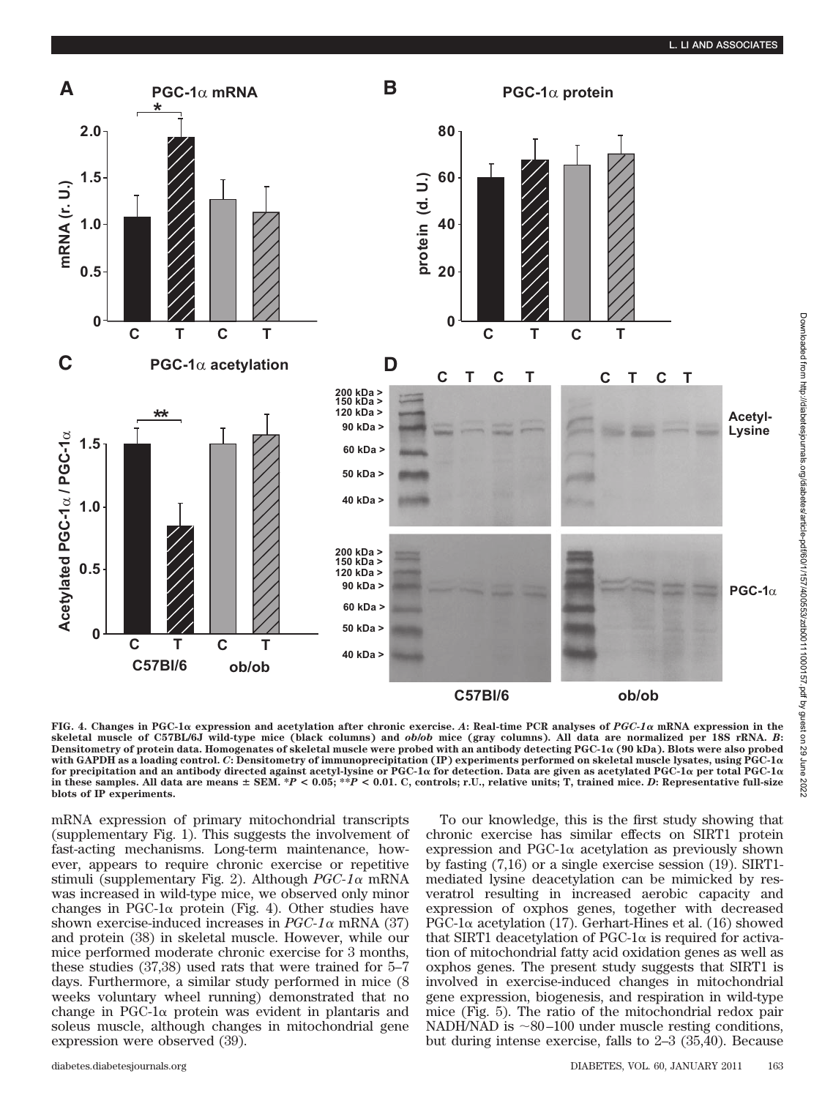

**FIG. 4.** Changes in PGC-1α expression and acetylation after chronic exercise. A: Real-time PCR analyses of *PGC-1α* mRNA expression in the **skeletal muscle of C57BL/6J wild-type mice (black columns) and** *ob***/***ob* **mice (gray columns). All data are normalized per 18S rRNA.** *B***:** Densitometry of protein data. Homogenates of skeletal muscle were probed with an antibody detecting PGC-1 $\alpha$  (90 kDa). Blots were also probed **with GAPDH as a loading control.** *C***: Densitometry of immunoprecipitation (IP) experiments performed on skeletal muscle lysates, using PGC-1** for precipitation and an antibody directed against acetyl-lysine or PGC-1 $\alpha$  for detection. Data are given as acetylated PGC-1 $\alpha$  per total PGC-1 $\alpha$ **in these samples. All data are means SEM. \****P* **< 0.05; \*\****P* **< 0.01. C, controls; r.U., relative units; T, trained mice.** *D***: Representative full-size blots of IP experiments.**

mRNA expression of primary mitochondrial transcripts (supplementary Fig. 1). This suggests the involvement of fast-acting mechanisms. Long-term maintenance, however, appears to require chronic exercise or repetitive stimuli (supplementary Fig. 2). Although *PGC-1* mRNA was increased in wild-type mice, we observed only minor changes in PGC-1 $\alpha$  protein (Fig. 4). Other studies have shown exercise-induced increases in  $PGC-1\alpha$  mRNA (37) and protein (38) in skeletal muscle. However, while our mice performed moderate chronic exercise for 3 months, these studies (37,38) used rats that were trained for 5–7 days. Furthermore, a similar study performed in mice (8 weeks voluntary wheel running) demonstrated that no change in PGC-1 $\alpha$  protein was evident in plantaris and soleus muscle, although changes in mitochondrial gene expression were observed (39).

To our knowledge, this is the first study showing that chronic exercise has similar effects on SIRT1 protein  $\exp$ ression and PGC-1 $\alpha$  acetylation as previously shown by fasting (7,16) or a single exercise session (19). SIRT1 mediated lysine deacetylation can be mimicked by resveratrol resulting in increased aerobic capacity and expression of oxphos genes, together with decreased PGC-1 $\alpha$  acetylation (17). Gerhart-Hines et al. (16) showed that SIRT1 deacetylation of PGC-1 $\alpha$  is required for activation of mitochondrial fatty acid oxidation genes as well as oxphos genes. The present study suggests that SIRT1 is involved in exercise-induced changes in mitochondrial gene expression, biogenesis, and respiration in wild-type mice (Fig. 5). The ratio of the mitochondrial redox pair NADH/NAD is  $\sim 80-100$  under muscle resting conditions, but during intense exercise, falls to 2–3 (35,40). Because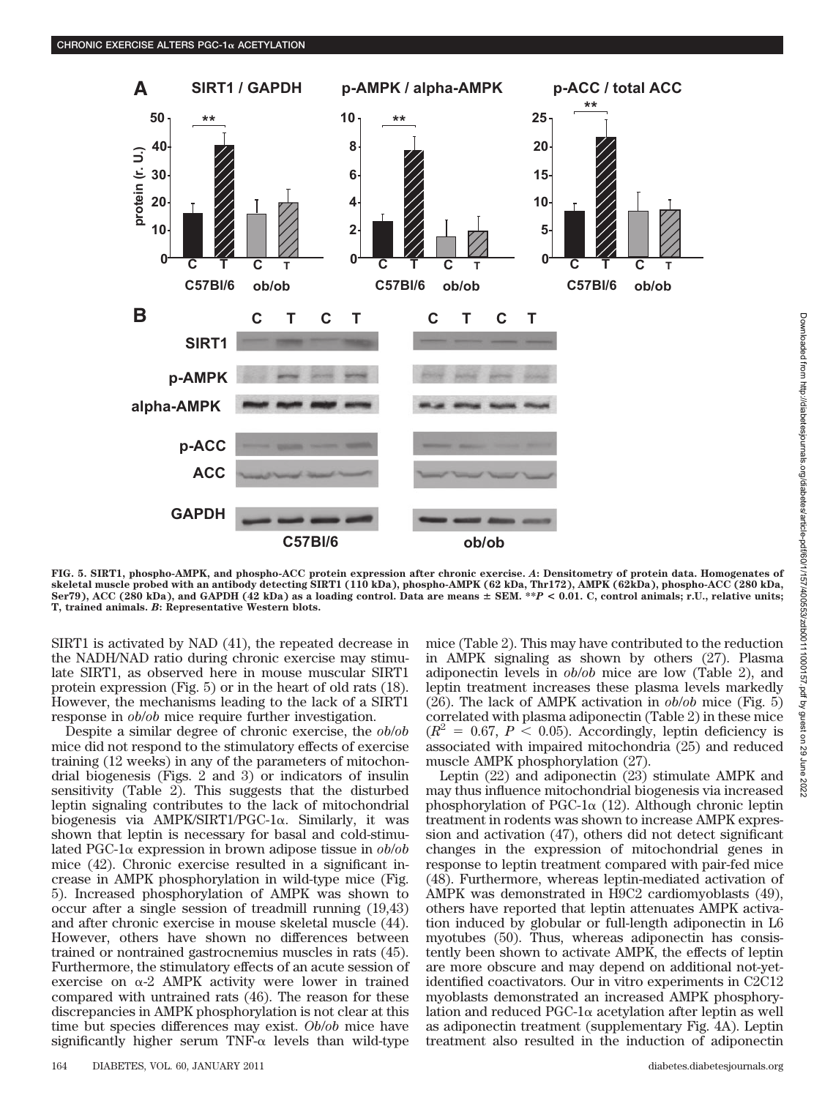

**FIG. 5. SIRT1, phospho-AMPK, and phospho-ACC protein expression after chronic exercise.** *A***: Densitometry of protein data. Homogenates of skeletal muscle probed with an antibody detecting SIRT1 (110 kDa), phospho-AMPK (62 kDa, Thr172), AMPK (62kDa), phospho-ACC (280 kDa, Ser79), ACC (280 kDa), and GAPDH (42 kDa) as a loading control. Data are means SEM. \*\****P* **< 0.01. C, control animals; r.U., relative units; T, trained animals.** *B***: Representative Western blots.**

SIRT1 is activated by NAD (41), the repeated decrease in the NADH/NAD ratio during chronic exercise may stimulate SIRT1, as observed here in mouse muscular SIRT1 protein expression (Fig. 5) or in the heart of old rats (18). However, the mechanisms leading to the lack of a SIRT1 response in *ob*/*ob* mice require further investigation.

Despite a similar degree of chronic exercise, the *ob*/*ob* mice did not respond to the stimulatory effects of exercise training (12 weeks) in any of the parameters of mitochondrial biogenesis (Figs. 2 and 3) or indicators of insulin sensitivity (Table 2). This suggests that the disturbed leptin signaling contributes to the lack of mitochondrial biogenesis via AMPK/SIRT1/PGC-1α. Similarly, it was shown that leptin is necessary for basal and cold-stimulated PGC-1 $\alpha$  expression in brown adipose tissue in  $ob/ob$ mice (42). Chronic exercise resulted in a significant increase in AMPK phosphorylation in wild-type mice (Fig. 5). Increased phosphorylation of AMPK was shown to occur after a single session of treadmill running (19,43) and after chronic exercise in mouse skeletal muscle (44). However, others have shown no differences between trained or nontrained gastrocnemius muscles in rats (45). Furthermore, the stimulatory effects of an acute session of exercise on  $\alpha$ -2 AMPK activity were lower in trained compared with untrained rats (46). The reason for these discrepancies in AMPK phosphorylation is not clear at this time but species differences may exist. *Ob*/*ob* mice have  $significantly$  higher serum TNF- $\alpha$  levels than wild-type

mice (Table 2). This may have contributed to the reduction in AMPK signaling as shown by others (27). Plasma adiponectin levels in *ob*/*ob* mice are low (Table 2), and leptin treatment increases these plasma levels markedly (26). The lack of AMPK activation in *ob*/*ob* mice (Fig. 5) correlated with plasma adiponectin (Table 2) in these mice  $(R^2 = 0.67, P < 0.05)$ . Accordingly, leptin deficiency is associated with impaired mitochondria (25) and reduced muscle AMPK phosphorylation (27).

Leptin (22) and adiponectin (23) stimulate AMPK and may thus influence mitochondrial biogenesis via increased phosphorylation of PGC-1 $\alpha$  (12). Although chronic leptin treatment in rodents was shown to increase AMPK expression and activation (47), others did not detect significant changes in the expression of mitochondrial genes in response to leptin treatment compared with pair-fed mice (48). Furthermore, whereas leptin-mediated activation of AMPK was demonstrated in H9C2 cardiomyoblasts (49), others have reported that leptin attenuates AMPK activation induced by globular or full-length adiponectin in L6 myotubes (50). Thus, whereas adiponectin has consistently been shown to activate AMPK, the effects of leptin are more obscure and may depend on additional not-yetidentified coactivators. Our in vitro experiments in C2C12 myoblasts demonstrated an increased AMPK phosphorylation and reduced PGC-1 $\alpha$  acetylation after leptin as well as adiponectin treatment (supplementary Fig. 4A). Leptin treatment also resulted in the induction of adiponectin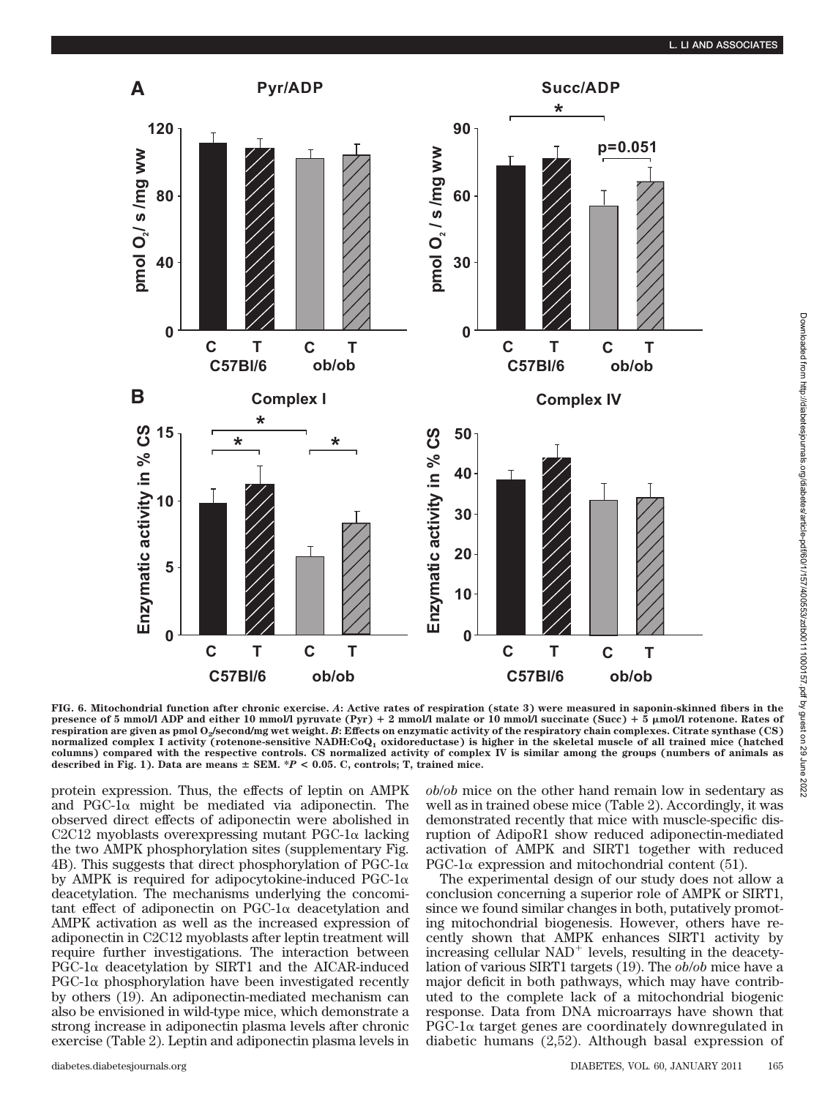

**FIG. 6. Mitochondrial function after chronic exercise.** *A***: Active rates of respiration (state 3) were measured in saponin-skinned fibers in the presence of 5 mmol/l ADP and either 10 mmol/l pyruvate (Pyr) 2 mmol/l malate or 10 mmol/l succinate (Succ) 5 mol/l rotenone. Rates of respiration are given as pmol O2/second/mg wet weight.** *B***: Effects on enzymatic activity of the respiratory chain complexes. Citrate synthase (CS) normalized complex I activity (rotenone-sensitive NADH:CoQ1 oxidoreductase) is higher in the skeletal muscle of all trained mice (hatched columns) compared with the respective controls. CS normalized activity of complex IV is similar among the groups (numbers of animals as described in Fig. 1). Data are means SEM. \****P* **< 0.05. C, controls; T, trained mice.**

protein expression. Thus, the effects of leptin on AMPK and PGC-1 $\alpha$  might be mediated via adiponectin. The observed direct effects of adiponectin were abolished in C2C12 myoblasts overexpressing mutant  $PGC-1\alpha$  lacking the two AMPK phosphorylation sites (supplementary Fig. 4B). This suggests that direct phosphorylation of PGC-1 $\alpha$ by AMPK is required for adipocytokine-induced PGC-1 $\alpha$ deacetylation. The mechanisms underlying the concomi $tant effect of adiponectin on PGC-1 $\alpha$  deacetylation and$ AMPK activation as well as the increased expression of adiponectin in C2C12 myoblasts after leptin treatment will require further investigations. The interaction between  $PGC-1\alpha$  deacetylation by SIRT1 and the AICAR-induced  $PGC-1\alpha$  phosphorylation have been investigated recently by others (19). An adiponectin-mediated mechanism can also be envisioned in wild-type mice, which demonstrate a strong increase in adiponectin plasma levels after chronic exercise (Table 2). Leptin and adiponectin plasma levels in *ob*/*ob* mice on the other hand remain low in sedentary as well as in trained obese mice (Table 2). Accordingly, it was demonstrated recently that mice with muscle-specific disruption of AdipoR1 show reduced adiponectin-mediated activation of AMPK and SIRT1 together with reduced PGC-1 $\alpha$  expression and mitochondrial content (51).

The experimental design of our study does not allow a conclusion concerning a superior role of AMPK or SIRT1, since we found similar changes in both, putatively promoting mitochondrial biogenesis. However, others have recently shown that AMPK enhances SIRT1 activity by increasing cellular  $NAD^+$  levels, resulting in the deacetylation of various SIRT1 targets (19). The *ob*/*ob* mice have a major deficit in both pathways, which may have contributed to the complete lack of a mitochondrial biogenic response. Data from DNA microarrays have shown that  $PGC-1\alpha$  target genes are coordinately downregulated in diabetic humans (2,52). Although basal expression of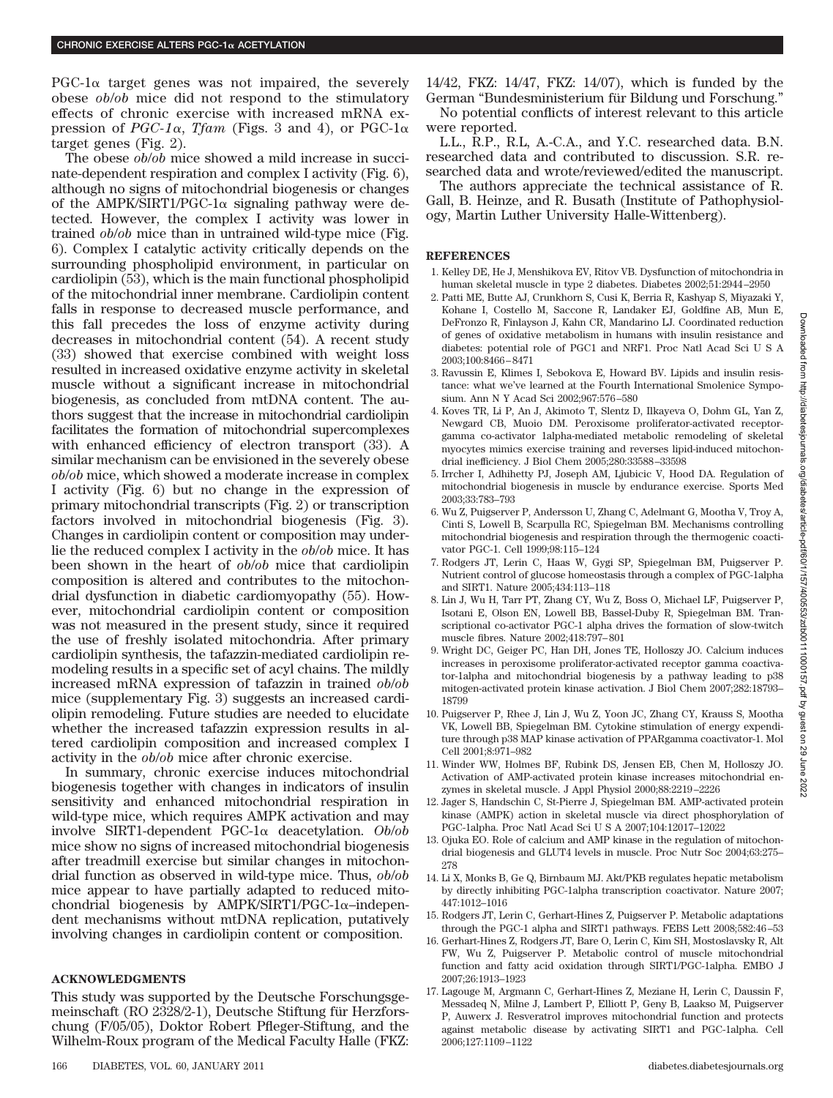$PGC-1\alpha$  target genes was not impaired, the severely obese *ob*/*ob* mice did not respond to the stimulatory effects of chronic exercise with increased mRNA expression of  $PGC-1\alpha$ , *Tfam* (Figs. 3 and 4), or PGC-1 $\alpha$ target genes (Fig. 2).

The obese *ob*/*ob* mice showed a mild increase in succinate-dependent respiration and complex I activity (Fig. 6), although no signs of mitochondrial biogenesis or changes of the AMPK/SIRT1/PGC-1 $\alpha$  signaling pathway were detected. However, the complex I activity was lower in trained *ob*/*ob* mice than in untrained wild-type mice (Fig. 6). Complex I catalytic activity critically depends on the surrounding phospholipid environment, in particular on cardiolipin (53), which is the main functional phospholipid of the mitochondrial inner membrane. Cardiolipin content falls in response to decreased muscle performance, and this fall precedes the loss of enzyme activity during decreases in mitochondrial content (54). A recent study (33) showed that exercise combined with weight loss resulted in increased oxidative enzyme activity in skeletal muscle without a significant increase in mitochondrial biogenesis, as concluded from mtDNA content. The authors suggest that the increase in mitochondrial cardiolipin facilitates the formation of mitochondrial supercomplexes with enhanced efficiency of electron transport (33). A similar mechanism can be envisioned in the severely obese *ob*/*ob* mice, which showed a moderate increase in complex I activity (Fig. 6) but no change in the expression of primary mitochondrial transcripts (Fig. 2) or transcription factors involved in mitochondrial biogenesis (Fig. 3). Changes in cardiolipin content or composition may underlie the reduced complex I activity in the *ob*/*ob* mice. It has been shown in the heart of *ob*/*ob* mice that cardiolipin composition is altered and contributes to the mitochondrial dysfunction in diabetic cardiomyopathy (55). However, mitochondrial cardiolipin content or composition was not measured in the present study, since it required the use of freshly isolated mitochondria. After primary cardiolipin synthesis, the tafazzin-mediated cardiolipin remodeling results in a specific set of acyl chains. The mildly increased mRNA expression of tafazzin in trained *ob*/*ob* mice (supplementary Fig. 3) suggests an increased cardiolipin remodeling. Future studies are needed to elucidate whether the increased tafazzin expression results in altered cardiolipin composition and increased complex I activity in the *ob*/*ob* mice after chronic exercise.

In summary, chronic exercise induces mitochondrial biogenesis together with changes in indicators of insulin sensitivity and enhanced mitochondrial respiration in wild-type mice, which requires AMPK activation and may involve SIRT1-dependent PGC-1 $\alpha$  deacetylation. Ob/ob mice show no signs of increased mitochondrial biogenesis after treadmill exercise but similar changes in mitochondrial function as observed in wild-type mice. Thus, *ob*/*ob* mice appear to have partially adapted to reduced mitochondrial biogenesis by AMPK/SIRT1/PGC-1 $\alpha$ -independent mechanisms without mtDNA replication, putatively involving changes in cardiolipin content or composition.

#### **ACKNOWLEDGMENTS**

This study was supported by the Deutsche Forschungsgemeinschaft (RO 2328/2-1), Deutsche Stiftung für Herzforschung (F/05/05), Doktor Robert Pfleger-Stiftung, and the Wilhelm-Roux program of the Medical Faculty Halle (FKZ:

No potential conflicts of interest relevant to this article were reported.

L.L., R.P., R.L, A.-C.A., and Y.C. researched data. B.N. researched data and contributed to discussion. S.R. researched data and wrote/reviewed/edited the manuscript.

The authors appreciate the technical assistance of R. Gall, B. Heinze, and R. Busath (Institute of Pathophysiology, Martin Luther University Halle-Wittenberg).

#### **REFERENCES**

- 1. Kelley DE, He J, Menshikova EV, Ritov VB. Dysfunction of mitochondria in human skeletal muscle in type 2 diabetes. Diabetes 2002;51:2944–2950
- 2. Patti ME, Butte AJ, Crunkhorn S, Cusi K, Berria R, Kashyap S, Miyazaki Y, Kohane I, Costello M, Saccone R, Landaker EJ, Goldfine AB, Mun E, DeFronzo R, Finlayson J, Kahn CR, Mandarino LJ. Coordinated reduction of genes of oxidative metabolism in humans with insulin resistance and diabetes: potential role of PGC1 and NRF1. Proc Natl Acad SciUSA 2003;100:8466–8471
- 3. Ravussin E, Klimes I, Sebokova E, Howard BV. Lipids and insulin resistance: what we've learned at the Fourth International Smolenice Symposium. Ann N Y Acad Sci 2002;967:576–580
- 4. Koves TR, Li P, An J, Akimoto T, Slentz D, Ilkayeva O, Dohm GL, Yan Z, Newgard CB, Muoio DM. Peroxisome proliferator-activated receptorgamma co-activator 1alpha-mediated metabolic remodeling of skeletal myocytes mimics exercise training and reverses lipid-induced mitochondrial inefficiency. J Biol Chem 2005;280:33588–33598
- 5. Irrcher I, Adhihetty PJ, Joseph AM, Ljubicic V, Hood DA. Regulation of mitochondrial biogenesis in muscle by endurance exercise. Sports Med 2003;33:783–793
- 6. Wu Z, Puigserver P, Andersson U, Zhang C, Adelmant G, Mootha V, Troy A, Cinti S, Lowell B, Scarpulla RC, Spiegelman BM. Mechanisms controlling mitochondrial biogenesis and respiration through the thermogenic coactivator PGC-1. Cell 1999;98:115–124
- 7. Rodgers JT, Lerin C, Haas W, Gygi SP, Spiegelman BM, Puigserver P. Nutrient control of glucose homeostasis through a complex of PGC-1alpha and SIRT1. Nature 2005;434:113–118
- 8. Lin J, Wu H, Tarr PT, Zhang CY, Wu Z, Boss O, Michael LF, Puigserver P, Isotani E, Olson EN, Lowell BB, Bassel-Duby R, Spiegelman BM. Transcriptional co-activator PGC-1 alpha drives the formation of slow-twitch muscle fibres. Nature 2002;418:797–801
- 9. Wright DC, Geiger PC, Han DH, Jones TE, Holloszy JO. Calcium induces increases in peroxisome proliferator-activated receptor gamma coactivator-1alpha and mitochondrial biogenesis by a pathway leading to p38 mitogen-activated protein kinase activation. J Biol Chem 2007;282:18793– 18799
- 10. Puigserver P, Rhee J, Lin J, Wu Z, Yoon JC, Zhang CY, Krauss S, Mootha VK, Lowell BB, Spiegelman BM. Cytokine stimulation of energy expenditure through p38 MAP kinase activation of PPARgamma coactivator-1. Mol Cell 2001;8:971–982
- 11. Winder WW, Holmes BF, Rubink DS, Jensen EB, Chen M, Holloszy JO. Activation of AMP-activated protein kinase increases mitochondrial enzymes in skeletal muscle. J Appl Physiol 2000;88:2219–2226
- 12. Jager S, Handschin C, St-Pierre J, Spiegelman BM. AMP-activated protein kinase (AMPK) action in skeletal muscle via direct phosphorylation of PGC-1alpha. Proc Natl Acad SciUSA 2007;104:12017–12022
- 13. Ojuka EO. Role of calcium and AMP kinase in the regulation of mitochondrial biogenesis and GLUT4 levels in muscle. Proc Nutr Soc 2004;63:275– 278
- 14. Li X, Monks B, Ge Q, Birnbaum MJ. Akt/PKB regulates hepatic metabolism by directly inhibiting PGC-1alpha transcription coactivator. Nature 2007; 447:1012–1016
- 15. Rodgers JT, Lerin C, Gerhart-Hines Z, Puigserver P. Metabolic adaptations through the PGC-1 alpha and SIRT1 pathways. FEBS Lett 2008;582:46–53
- 16. Gerhart-Hines Z, Rodgers JT, Bare O, Lerin C, Kim SH, Mostoslavsky R, Alt FW, Wu Z, Puigserver P. Metabolic control of muscle mitochondrial function and fatty acid oxidation through SIRT1/PGC-1alpha. EMBO J 2007;26:1913–1923
- 17. Lagouge M, Argmann C, Gerhart-Hines Z, Meziane H, Lerin C, Daussin F, Messadeq N, Milne J, Lambert P, Elliott P, Geny B, Laakso M, Puigserver P, Auwerx J. Resveratrol improves mitochondrial function and protects against metabolic disease by activating SIRT1 and PGC-1alpha. Cell 2006;127:1109–1122